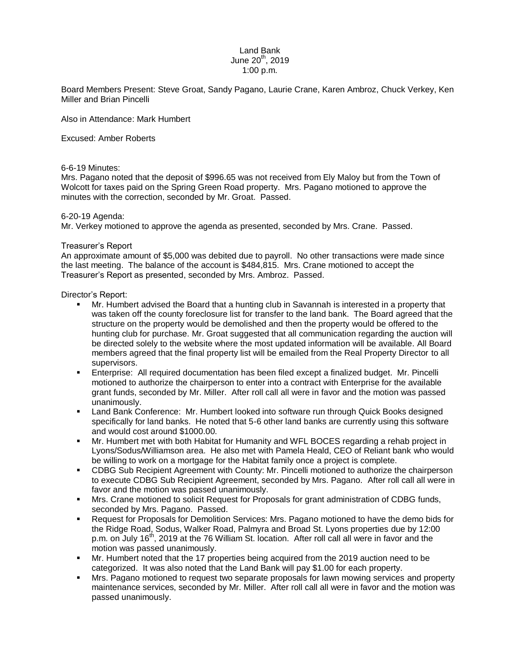## Land Bank June  $20^{th}$ , 2019 1:00 p.m.

Board Members Present: Steve Groat, Sandy Pagano, Laurie Crane, Karen Ambroz, Chuck Verkey, Ken Miller and Brian Pincelli

Also in Attendance: Mark Humbert

Excused: Amber Roberts

## 6-6-19 Minutes:

Mrs. Pagano noted that the deposit of \$996.65 was not received from Ely Maloy but from the Town of Wolcott for taxes paid on the Spring Green Road property. Mrs. Pagano motioned to approve the minutes with the correction, seconded by Mr. Groat. Passed.

## 6-20-19 Agenda:

Mr. Verkey motioned to approve the agenda as presented, seconded by Mrs. Crane. Passed.

## Treasurer's Report

An approximate amount of \$5,000 was debited due to payroll. No other transactions were made since the last meeting. The balance of the account is \$484,815. Mrs. Crane motioned to accept the Treasurer's Report as presented, seconded by Mrs. Ambroz. Passed.

Director's Report:

- Mr. Humbert advised the Board that a hunting club in Savannah is interested in a property that was taken off the county foreclosure list for transfer to the land bank. The Board agreed that the structure on the property would be demolished and then the property would be offered to the hunting club for purchase. Mr. Groat suggested that all communication regarding the auction will be directed solely to the website where the most updated information will be available. All Board members agreed that the final property list will be emailed from the Real Property Director to all supervisors.
- Enterprise: All required documentation has been filed except a finalized budget. Mr. Pincelli motioned to authorize the chairperson to enter into a contract with Enterprise for the available grant funds, seconded by Mr. Miller. After roll call all were in favor and the motion was passed unanimously.
- Land Bank Conference: Mr. Humbert looked into software run through Quick Books designed specifically for land banks. He noted that 5-6 other land banks are currently using this software and would cost around \$1000.00.
- Mr. Humbert met with both Habitat for Humanity and WFL BOCES regarding a rehab project in Lyons/Sodus/Williamson area. He also met with Pamela Heald, CEO of Reliant bank who would be willing to work on a mortgage for the Habitat family once a project is complete.
- CDBG Sub Recipient Agreement with County: Mr. Pincelli motioned to authorize the chairperson to execute CDBG Sub Recipient Agreement, seconded by Mrs. Pagano. After roll call all were in favor and the motion was passed unanimously.
- Mrs. Crane motioned to solicit Request for Proposals for grant administration of CDBG funds, seconded by Mrs. Pagano. Passed.
- Request for Proposals for Demolition Services: Mrs. Pagano motioned to have the demo bids for the Ridge Road, Sodus, Walker Road, Palmyra and Broad St. Lyons properties due by 12:00 p.m. on July 16<sup>th</sup>, 2019 at the 76 William St. location. After roll call all were in favor and the motion was passed unanimously.
- Mr. Humbert noted that the 17 properties being acquired from the 2019 auction need to be categorized. It was also noted that the Land Bank will pay \$1.00 for each property.
- Mrs. Pagano motioned to request two separate proposals for lawn mowing services and property maintenance services, seconded by Mr. Miller. After roll call all were in favor and the motion was passed unanimously.